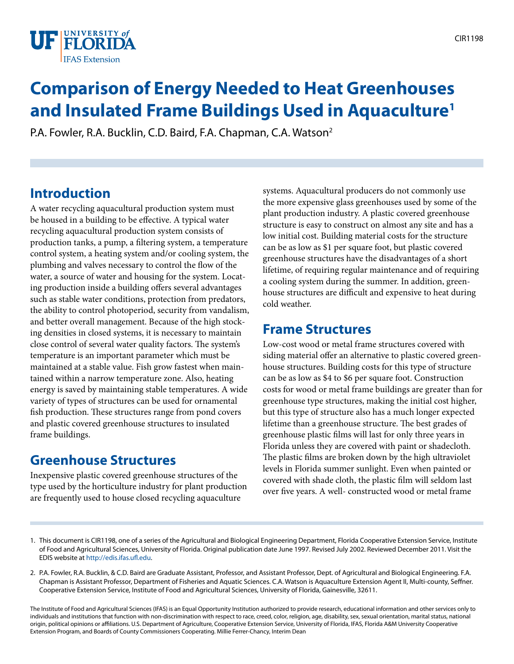

# **Comparison of Energy Needed to Heat Greenhouses and Insulated Frame Buildings Used in Aquaculture1**

P.A. Fowler, R.A. Bucklin, C.D. Baird, F.A. Chapman, C.A. Watson2

## **Introduction**

A water recycling aquacultural production system must be housed in a building to be effective. A typical water recycling aquacultural production system consists of production tanks, a pump, a filtering system, a temperature control system, a heating system and/or cooling system, the plumbing and valves necessary to control the flow of the water, a source of water and housing for the system. Locating production inside a building offers several advantages such as stable water conditions, protection from predators, the ability to control photoperiod, security from vandalism, and better overall management. Because of the high stocking densities in closed systems, it is necessary to maintain close control of several water quality factors. The system's temperature is an important parameter which must be maintained at a stable value. Fish grow fastest when maintained within a narrow temperature zone. Also, heating energy is saved by maintaining stable temperatures. A wide variety of types of structures can be used for ornamental fish production. These structures range from pond covers and plastic covered greenhouse structures to insulated frame buildings.

### **Greenhouse Structures**

Inexpensive plastic covered greenhouse structures of the type used by the horticulture industry for plant production are frequently used to house closed recycling aquaculture

systems. Aquacultural producers do not commonly use the more expensive glass greenhouses used by some of the plant production industry. A plastic covered greenhouse structure is easy to construct on almost any site and has a low initial cost. Building material costs for the structure can be as low as \$1 per square foot, but plastic covered greenhouse structures have the disadvantages of a short lifetime, of requiring regular maintenance and of requiring a cooling system during the summer. In addition, greenhouse structures are difficult and expensive to heat during cold weather.

### **Frame Structures**

Low-cost wood or metal frame structures covered with siding material offer an alternative to plastic covered greenhouse structures. Building costs for this type of structure can be as low as \$4 to \$6 per square foot. Construction costs for wood or metal frame buildings are greater than for greenhouse type structures, making the initial cost higher, but this type of structure also has a much longer expected lifetime than a greenhouse structure. The best grades of greenhouse plastic films will last for only three years in Florida unless they are covered with paint or shadecloth. The plastic films are broken down by the high ultraviolet levels in Florida summer sunlight. Even when painted or covered with shade cloth, the plastic film will seldom last over five years. A well- constructed wood or metal frame

2. P.A. Fowler, R.A. Bucklin, & C.D. Baird are Graduate Assistant, Professor, and Assistant Professor, Dept. of Agricultural and Biological Engineering. F.A. Chapman is Assistant Professor, Department of Fisheries and Aquatic Sciences. C.A. Watson is Aquaculture Extension Agent II, Multi-county, Seffner. Cooperative Extension Service, Institute of Food and Agricultural Sciences, University of Florida, Gainesville, 32611.

The Institute of Food and Agricultural Sciences (IFAS) is an Equal Opportunity Institution authorized to provide research, educational information and other services only to individuals and institutions that function with non-discrimination with respect to race, creed, color, religion, age, disability, sex, sexual orientation, marital status, national origin, political opinions or affiliations. U.S. Department of Agriculture, Cooperative Extension Service, University of Florida, IFAS, Florida A&M University Cooperative Extension Program, and Boards of County Commissioners Cooperating. Millie Ferrer-Chancy, Interim Dean

<sup>1.</sup> This document is CIR1198, one of a series of the Agricultural and Biological Engineering Department, Florida Cooperative Extension Service, Institute of Food and Agricultural Sciences, University of Florida. Original publication date June 1997. Revised July 2002. Reviewed December 2011. Visit the EDIS website at [http://edis.ifas.ufl.edu.](http://edis.ifas.ufl.edu)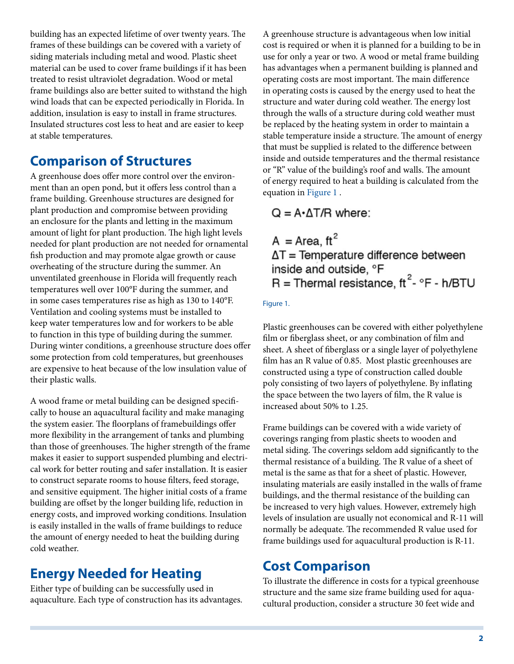building has an expected lifetime of over twenty years. The frames of these buildings can be covered with a variety of siding materials including metal and wood. Plastic sheet material can be used to cover frame buildings if it has been treated to resist ultraviolet degradation. Wood or metal frame buildings also are better suited to withstand the high wind loads that can be expected periodically in Florida. In addition, insulation is easy to install in frame structures. Insulated structures cost less to heat and are easier to keep at stable temperatures.

### **Comparison of Structures**

A greenhouse does offer more control over the environment than an open pond, but it offers less control than a frame building. Greenhouse structures are designed for plant production and compromise between providing an enclosure for the plants and letting in the maximum amount of light for plant production. The high light levels needed for plant production are not needed for ornamental fish production and may promote algae growth or cause overheating of the structure during the summer. An unventilated greenhouse in Florida will frequently reach temperatures well over 100°F during the summer, and in some cases temperatures rise as high as 130 to 140°F. Ventilation and cooling systems must be installed to keep water temperatures low and for workers to be able to function in this type of building during the summer. During winter conditions, a greenhouse structure does offer some protection from cold temperatures, but greenhouses are expensive to heat because of the low insulation value of their plastic walls.

A wood frame or metal building can be designed specifically to house an aquacultural facility and make managing the system easier. The floorplans of framebuildings offer more flexibility in the arrangement of tanks and plumbing than those of greenhouses. The higher strength of the frame makes it easier to support suspended plumbing and electrical work for better routing and safer installation. It is easier to construct separate rooms to house filters, feed storage, and sensitive equipment. The higher initial costs of a frame building are offset by the longer building life, reduction in energy costs, and improved working conditions. Insulation is easily installed in the walls of frame buildings to reduce the amount of energy needed to heat the building during cold weather.

### **Energy Needed for Heating**

Either type of building can be successfully used in aquaculture. Each type of construction has its advantages. A greenhouse structure is advantageous when low initial cost is required or when it is planned for a building to be in use for only a year or two. A wood or metal frame building has advantages when a permanent building is planned and operating costs are most important. The main difference in operating costs is caused by the energy used to heat the structure and water during cold weather. The energy lost through the walls of a structure during cold weather must be replaced by the heating system in order to maintain a stable temperature inside a structure. The amount of energy that must be supplied is related to the difference between inside and outside temperatures and the thermal resistance or "R" value of the building's roof and walls. The amount of energy required to heat a building is calculated from the equation in [Figure 1](IMAGE_AA_AA212F1) .

### $Q = A \cdot \Delta T / R$  where:

 $A = Area, ft<sup>2</sup>$  $\Delta T$  = Temperature difference between inside and outside, °F  $R =$ Thermal resistance, ft<sup>2</sup>-  ${}^{\circ}$ F - h/BTU

#### Figure 1.

Plastic greenhouses can be covered with either polyethylene film or fiberglass sheet, or any combination of film and sheet. A sheet of fiberglass or a single layer of polyethylene film has an R value of 0.85. Most plastic greenhouses are constructed using a type of construction called double poly consisting of two layers of polyethylene. By inflating the space between the two layers of film, the R value is increased about 50% to 1.25.

Frame buildings can be covered with a wide variety of coverings ranging from plastic sheets to wooden and metal siding. The coverings seldom add significantly to the thermal resistance of a building. The R value of a sheet of metal is the same as that for a sheet of plastic. However, insulating materials are easily installed in the walls of frame buildings, and the thermal resistance of the building can be increased to very high values. However, extremely high levels of insulation are usually not economical and R-11 will normally be adequate. The recommended R value used for frame buildings used for aquacultural production is R-11.

### **Cost Comparison**

To illustrate the difference in costs for a typical greenhouse structure and the same size frame building used for aquacultural production, consider a structure 30 feet wide and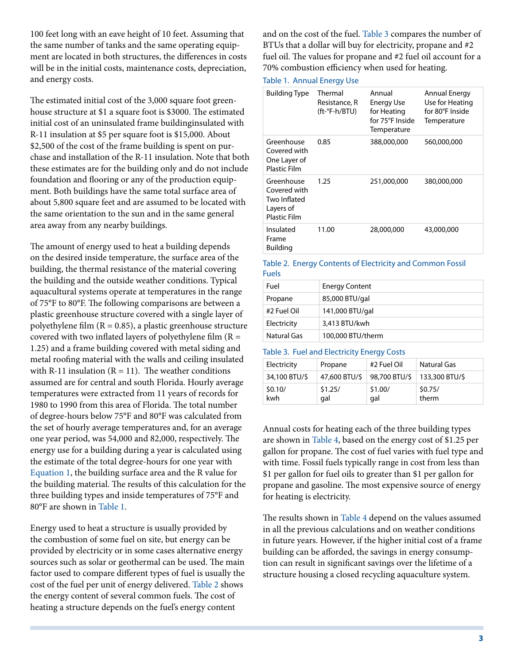100 feet long with an eave height of 10 feet. Assuming that the same number of tanks and the same operating equipment are located in both structures, the differences in costs will be in the initial costs, maintenance costs, depreciation, and energy costs.

The estimated initial cost of the 3,000 square foot greenhouse structure at \$1 a square foot is \$3000. The estimated initial cost of an uninsulated frame buildinginsulated with R-11 insulation at \$5 per square foot is \$15,000. About \$2,500 of the cost of the frame building is spent on purchase and installation of the R-11 insulation. Note that both these estimates are for the building only and do not include foundation and flooring or any of the production equipment. Both buildings have the same total surface area of about 5,800 square feet and are assumed to be located with the same orientation to the sun and in the same general area away from any nearby buildings.

The amount of energy used to heat a building depends on the desired inside temperature, the surface area of the building, the thermal resistance of the material covering the building and the outside weather conditions. Typical aquacultural systems operate at temperatures in the range of 75°F to 80°F. The following comparisons are between a plastic greenhouse structure covered with a single layer of polyethylene film  $(R = 0.85)$ , a plastic greenhouse structure covered with two inflated layers of polyethylene film  $(R =$ 1.25) and a frame building covered with metal siding and metal roofing material with the walls and ceiling insulated with R-11 insulation ( $R = 11$ ). The weather conditions assumed are for central and south Florida. Hourly average temperatures were extracted from 11 years of records for 1980 to 1990 from this area of Florida. The total number of degree-hours below 75°F and 80°F was calculated from the set of hourly average temperatures and, for an average one year period, was 54,000 and 82,000, respectively. The energy use for a building during a year is calculated using the estimate of the total degree-hours for one year with [Equation 1,](IMAGE_AA_AA212F1) the building surface area and the R value for the building material. The results of this calculation for the three building types and inside temperatures of 75°F and 80°F are shown in [Table 1.](TABLE_1_DOCUMENT_AA212)

Energy used to heat a structure is usually provided by the combustion of some fuel on site, but energy can be provided by electricity or in some cases alternative energy sources such as solar or geothermal can be used. The main factor used to compare different types of fuel is usually the cost of the fuel per unit of energy delivered. [Table 2](TABLE_2_DOCUMENT_AA212) shows the energy content of several common fuels. The cost of heating a structure depends on the fuel's energy content

and on the cost of the fuel. [Table 3 c](TABLE_3_DOCUMENT_AA212)ompares the number of BTUs that a dollar will buy for electricity, propane and #2 fuel oil. The values for propane and #2 fuel oil account for a 70% combustion efficiency when used for heating.

#### Table 1. Annual Energy Use

| <b>Building Type</b>                                                           | Thermal<br>Resistance, R<br>$(ft$ - $°F$ -h/BTU) | Annual<br><b>Energy Use</b><br>for Heating<br>for 75°F Inside<br>Temperature | Annual Energy<br>Use for Heating<br>for 80°F Inside<br>Temperature |
|--------------------------------------------------------------------------------|--------------------------------------------------|------------------------------------------------------------------------------|--------------------------------------------------------------------|
| Greenhouse<br>Covered with<br>One Layer of<br><b>Plastic Film</b>              | 0.85                                             | 388,000,000                                                                  | 560,000,000                                                        |
| Greenhouse<br>Covered with<br>Two Inflated<br>Layers of<br><b>Plastic Film</b> | 1.25                                             | 251,000,000                                                                  | 380,000,000                                                        |
| Insulated<br>Frame<br>Building                                                 | 11.00                                            | 28,000,000                                                                   | 43,000,000                                                         |

#### Table 2. Energy Contents of Electricity and Common Fossil Fuels

| Fuel        | <b>Energy Content</b> |
|-------------|-----------------------|
| Propane     | 85,000 BTU/gal        |
| #2 Fuel Oil | 141,000 BTU/gal       |
| Electricity | 3,413 BTU/kwh         |
| Natural Gas | 100,000 BTU/therm     |

#### Table 3. Fuel and Electricity Energy Costs

| Electricity    | Propane                     | #2 Fuel Oil    | Natural Gas      |  |
|----------------|-----------------------------|----------------|------------------|--|
| 34,100 BTU/\$  | 47,600 BTU/\$ 98,700 BTU/\$ |                | 133,300 BTU/\$   |  |
| \$0.10/<br>kwh | \$1.25/<br>qal              | \$1.00/<br>gal | \$0.75/<br>therm |  |

Annual costs for heating each of the three building types are shown in [Table 4](TABLE_4_DOCUMENT_AA212), based on the energy cost of \$1.25 per gallon for propane. The cost of fuel varies with fuel type and with time. Fossil fuels typically range in cost from less than \$1 per gallon for fuel oils to greater than \$1 per gallon for propane and gasoline. The most expensive source of energy for heating is electricity.

The results shown in [Table 4](TABLE_4_DOCUMENT_AA212) depend on the values assumed in all the previous calculations and on weather conditions in future years. However, if the higher initial cost of a frame building can be afforded, the savings in energy consumption can result in significant savings over the lifetime of a structure housing a closed recycling aquaculture system.